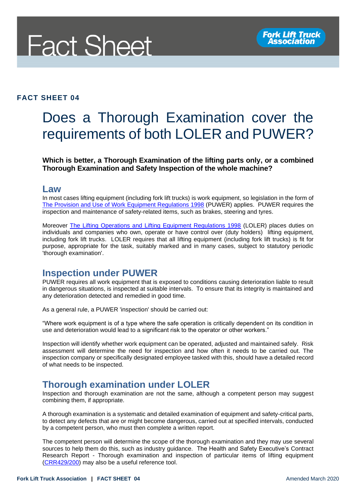

#### **FACT SHEET 04**

# Does a Thorough Examination cover the requirements of both LOLER and PUWER?

**Which is better, a Thorough Examination of the lifting parts only, or a combined Thorough Examination and Safety Inspection of the whole machine?** 

#### **Law**

In most cases lifting equipment (including fork lift trucks) is work equipment, so legislation in the form of [The Provision and Use of Work Equipment Regulations 1998](http://www.legislation.gov.uk/uksi/1998/2306/contents/made) (PUWER) applies. PUWER requires the inspection and maintenance of safety-related items, such as brakes, steering and tyres.

Moreover [The Lifting Operations and Lifting Equipment Regulations 1998](http://www.legislation.gov.uk/uksi/1998/2307/contents/made) (LOLER) places duties on individuals and companies who own, operate or have control over (duty holders) lifting equipment, including fork lift trucks. LOLER requires that all lifting equipment (including fork lift trucks) is fit for purpose, appropriate for the task, suitably marked and in many cases, subject to statutory periodic 'thorough examination'.

#### **Inspection under PUWER**

PUWER requires all work equipment that is exposed to conditions causing deterioration liable to result in dangerous situations, is inspected at suitable intervals. To ensure that its integrity is maintained and any deterioration detected and remedied in good time.

As a general rule, a PUWER 'inspection' should be carried out:

"Where work equipment is of a type where the safe operation is critically dependent on its condition in use and deterioration would lead to a significant risk to the operator or other workers."

Inspection will identify whether work equipment can be operated, adjusted and maintained safely. Risk assessment will determine the need for inspection and how often it needs to be carried out. The inspection company or specifically designated employee tasked with this, should have a detailed record of what needs to be inspected.

#### **Thorough examination under LOLER**

Inspection and thorough examination are not the same, although a competent person may suggest combining them, if appropriate.

A thorough examination is a systematic and detailed examination of equipment and safety-critical parts, to detect any defects that are or might become dangerous, carried out at specified intervals, conducted by a competent person, who must then complete a written report.

The competent person will determine the scope of the thorough examination and they may use several sources to help them do this, such as industry guidance. The Health and Safety Executive's Contract Research Report - Thorough examination and inspection of particular items of lifting equipment [\(CRR429/200\)](https://www.hse.gov.uk/research/crr_htm/crr02429.htm) may also be a useful reference tool.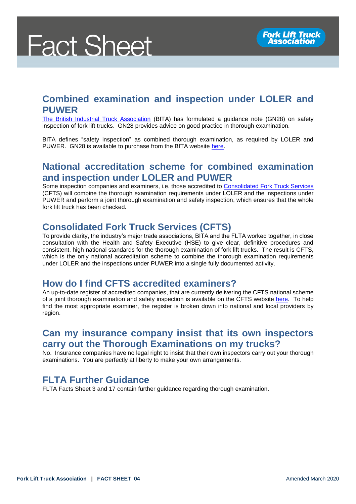# **Fact Sheet**

# **Combined examination and inspection under LOLER and PUWER**

[The British Industrial Truck Association](https://www.bita.org.uk/) (BITA) has formulated a guidance note (GN28) on safety inspection of fork lift trucks. GN28 provides advice on good practice in thorough examination.

BITA defines "safety inspection" as combined thorough examination, as required by LOLER and PUWER. GN28 is available to purchase from the BITA website [here.](https://www.bita.org.uk/product/gn28-thorough-examination-safety-inspections-of-industrial-lift-trucks/)

## **National accreditation scheme for combined examination and inspection under LOLER and PUWER**

Some inspection companies and examiners, i.e. those accredited to [Consolidated Fork Truck Services](file:///C:/Users/Lee%20Medway/AppData/Local/Microsoft/Windows/INetCache/Content.Outlook/OE207K3J/Consolidated%20Fork%20Truck%20Services%20(CFTS)) (CFTS) will combine the thorough examination requirements under LOLER and the inspections under PUWER and perform a joint thorough examination and safety inspection, which ensures that the whole fork lift truck has been checked.

### **Consolidated Fork Truck Services (CFTS)**

To provide clarity, the industry's major trade associations, BITA and the FLTA worked together, in close consultation with the Health and Safety Executive (HSE) to give clear, definitive procedures and consistent, high national standards for the thorough examination of fork lift trucks. The result is CFTS, which is the only national accreditation scheme to combine the thorough examination requirements under LOLER and the inspections under PUWER into a single fully documented activity.

### **How do I find CFTS accredited examiners?**

An up-to-date register of accredited companies, that are currently delivering the CFTS national scheme of a joint thorough examination and safety inspection is available on the CFTS website [here.](https://www.thoroughexamination.org/find-an-accredited-examiner) To help find the most appropriate examiner, the register is broken down into national and local providers by region.

### **[Can my insurance company insist that its own inspectors](https://www.thoroughexamination.org/faqs#faq-128)  [carry out the Thorough Examinations on my trucks?](https://www.thoroughexamination.org/faqs#faq-128)**

No. Insurance companies have no legal right to insist that their own inspectors carry out your thorough examinations. You are perfectly at liberty to make your own arrangements.

### **FLTA Further Guidance**

FLTA Facts Sheet [3](https://fork-truck.org.uk/uploads/files/zHhjEFS3.pdf) and [17](https://fork-truck.org.uk/uploads/files/BWjxiFS17.pdf) contain further guidance regarding thorough examination.